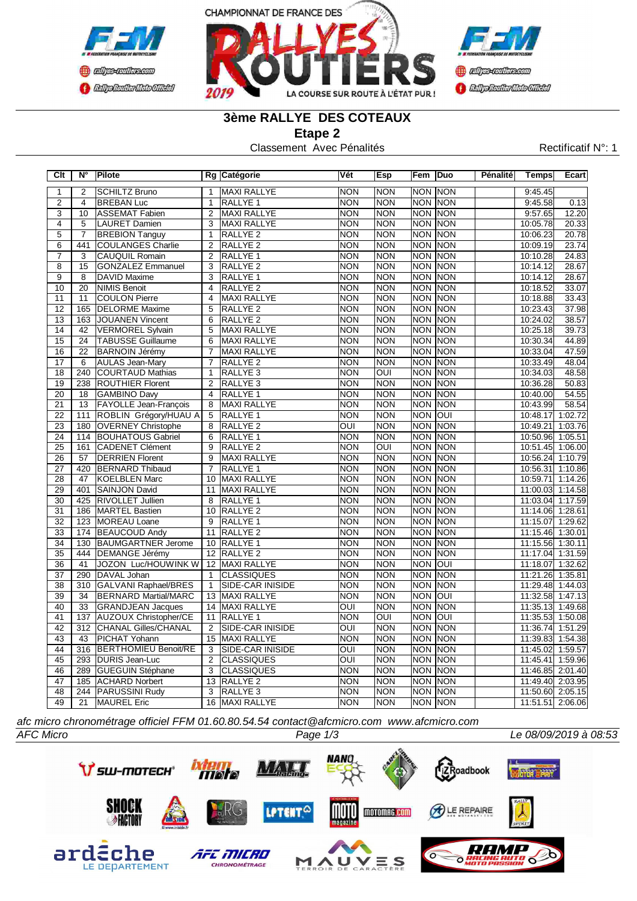



# **3ème RALLYE DES COTEAUX**

**Etape 2**

Classement Avec Pénalités Rectificatif N°: 1

| Clt                       | N°               | Pilote                       |                 | Rg Catégorie            | Vét                     | <b>Esp</b>            | Fem            | Duo         | Pénalité | <b>Temps</b>     | Ecart   |
|---------------------------|------------------|------------------------------|-----------------|-------------------------|-------------------------|-----------------------|----------------|-------------|----------|------------------|---------|
| $\overline{1}$            | $\overline{2}$   | <b>SCHILTZ Bruno</b>         | 1               | <b>MAXI RALLYE</b>      | <b>NON</b>              | <b>NON</b>            | <b>NON NON</b> |             |          | 9:45.45          |         |
| $\overline{2}$            | $\overline{4}$   | <b>BREBAN Luc</b>            | $\overline{1}$  | <b>RALLYE 1</b>         | <b>NON</b>              | <b>NON</b>            | <b>NON NON</b> |             |          | 9:45.58          | 0.13    |
| $\overline{\overline{3}}$ | 10               | <b>ASSEMAT Fabien</b>        | $\overline{2}$  | MAXI RALLYE             | <b>NON</b>              | <b>NON</b>            | <b>NON NON</b> |             |          | 9:57.65          | 12.20   |
| $\overline{4}$            | $\overline{5}$   | <b>LAURET Damien</b>         | $\overline{3}$  | MAXI RALLYE             | <b>NON</b>              | <b>NON</b>            | <b>NON NON</b> |             |          | 10:05.78         | 20.33   |
| $\overline{5}$            | $\overline{7}$   | <b>BREBION Tanguy</b>        | $\mathbf{1}$    | RALLYE <sub>2</sub>     | $\overline{NON}$        | <b>NON</b>            | <b>NON NON</b> |             |          | 10:06.23         | 20.78   |
| $\overline{6}$            | 441              | <b>COULANGES Charlie</b>     | $\overline{2}$  | RALLYE <sub>2</sub>     | <b>NON</b>              | <b>NON</b>            | <b>NON</b>     | NON         |          | 10:09.19         | 23.74   |
| $\overline{7}$            | 3                | <b>CAUQUIL Romain</b>        | $\overline{2}$  | RALLYE <sub>1</sub>     | <b>NON</b>              | <b>NON</b>            | <b>NON NON</b> |             |          | 10:10.28         | 24.83   |
| $\overline{\mathbf{8}}$   | $\overline{15}$  | <b>GONZALEZ Emmanuel</b>     | $\overline{3}$  | <b>RALLYE 2</b>         | <b>NON</b>              | <b>NON</b>            | <b>NON</b>     | <b>INON</b> |          | 10:14.12         | 28.67   |
| 9                         | 8                | <b>DAVID Maxime</b>          | 3               | RALLYE <sub>1</sub>     | <b>NON</b>              | <b>NON</b>            | <b>NON NON</b> |             |          | 10:14.12         | 28.67   |
| 10                        | 20               | <b>NIMIS Benoit</b>          | $\overline{4}$  | RALLYE <sub>2</sub>     | <b>NON</b>              | <b>NON</b>            | <b>NON</b>     | NON         |          | 10:18.52         | 33.07   |
| 11                        | 11               | <b>COULON Pierre</b>         | $\overline{4}$  | <b>MAXI RALLYE</b>      | <b>NON</b>              | <b>NON</b>            | <b>NON NON</b> |             |          | 10:18.88         | 33.43   |
| 12                        | 165              | <b>DELORME Maxime</b>        | 5               | RALLYE <sub>2</sub>     | <b>NON</b>              | <b>NON</b>            | <b>NON NON</b> |             |          | 10:23.43         | 37.98   |
| 13                        | 163              | <b>JOUANEN Vincent</b>       | 6               | <b>RALLYE 2</b>         | <b>NON</b>              | <b>NON</b>            | <b>NON</b>     | <b>NON</b>  |          | 10:24.02         | 38.57   |
| $\overline{14}$           | $\overline{42}$  | <b>VERMOREL Sylvain</b>      | $\overline{5}$  | <b>MAXI RALLYE</b>      | <b>NON</b>              | <b>NON</b>            | <b>NON</b>     | <b>NON</b>  |          | 10:25.18         | 39.73   |
| $\overline{15}$           | $\overline{24}$  | <b>TABUSSE Guillaume</b>     | 6               | <b>MAXI RALLYE</b>      | <b>NON</b>              | <b>NON</b>            | <b>NON</b>     | <b>NON</b>  |          | 10:30.34         | 44.89   |
| $\overline{16}$           | $\overline{22}$  | <b>BARNOIN Jérémy</b>        | $\overline{7}$  | <b>MAXI RALLYE</b>      | <b>NON</b>              | <b>NON</b>            | <b>NON</b>     | <b>INON</b> |          | 10:33.04         | 47.59   |
| 17                        | 6                | <b>AULAS Jean-Mary</b>       | $\overline{7}$  | RALLYE <sub>2</sub>     | <b>NON</b>              | <b>NON</b>            | <b>NON</b>     | <b>NON</b>  |          | 10:33.49         | 48.04   |
| $\overline{18}$           | 240              | <b>COURTAUD Mathias</b>      | $\overline{1}$  | RALLYE <sub>3</sub>     | <b>NON</b>              | $\overline{OUI}$      | <b>NON</b>     | <b>NON</b>  |          | 10:34.03         | 48.58   |
| 19                        | 238              | <b>ROUTHIER Florent</b>      | $\overline{2}$  | RALLYE <sub>3</sub>     | <b>NON</b>              | <b>NON</b>            | <b>NON</b>     | <b>NON</b>  |          | 10:36.28         | 50.83   |
| 20                        | 18               | <b>GAMBINO Davy</b>          | $\overline{4}$  | RALLYE <sub>1</sub>     | <b>NON</b>              | <b>NON</b>            | <b>NON</b>     | NON         |          | 10:40.00         | 54.55   |
| $\overline{21}$           | $\overline{13}$  | <b>FAYOLLE Jean-François</b> | $\overline{8}$  | <b>MAXI RALLYE</b>      | <b>NON</b>              | <b>NON</b>            | <b>NON</b>     | <b>NON</b>  |          | 10:43.99         | 58.54   |
| $\overline{22}$           | 111              | ROBLIN Grégory/HUAU A        | $\overline{5}$  | RALLYE <sub>1</sub>     | <b>NON</b>              | <b>NON</b>            | <b>NON OUI</b> |             |          | 10:48.17         | 1:02.72 |
| $\overline{23}$           | 180              | <b>OVERNEY Christophe</b>    | $\overline{8}$  | <b>RALLYE 2</b>         | OUI                     | <b>NON</b>            | <b>NON</b>     | NON         |          | 10:49.21         | 1:03.76 |
| $\overline{24}$           | 114              | <b>BOUHATOUS Gabriel</b>     | $\overline{6}$  | RALLYE <sub>1</sub>     | <b>NON</b>              | <b>NON</b>            | <b>NON NON</b> |             |          | 10:50.96         | 1:05.51 |
| $\overline{25}$           | 161              | <b>CADENET Clément</b>       | $\overline{9}$  | <b>RALLYE 2</b>         | <b>NON</b>              | $\overline{O}$        | <b>NON</b>     | <b>NON</b>  |          | 10:51.45         | 1:06.00 |
| $\overline{26}$           | $\overline{57}$  | <b>DERRIEN Florent</b>       | 9               | MAXI RALLYE             | <b>NON</b>              | <b>NON</b>            | <b>NON NON</b> |             |          | 10:56.24         | 1:10.79 |
| 27                        | 420              | <b>BERNARD Thibaud</b>       | $\overline{7}$  | RALLYE <sub>1</sub>     | <b>NON</b>              | <b>NON</b>            | <b>NON</b>     | NON         |          | 10:56.31         | 1:10.86 |
| $\overline{28}$           | 47               | <b>KOELBLEN Marc</b>         | 10              | <b>MAXI RALLYE</b>      | <b>NON</b>              | <b>NON</b>            | <b>NON NON</b> |             |          | 10:59.71         | 1:14.26 |
| 29                        | 401              | SAINJON David                | 11              | MAXI RALLYE             | <b>NON</b>              | <b>NON</b>            | <b>NON</b>     | NON         |          | 11:00.03         | 1:14.58 |
| 30                        | 425              | <b>RIVOLLET Jullien</b>      | 8               | RALLYE <sub>1</sub>     | <b>NON</b>              | <b>NON</b>            | <b>NON NON</b> |             |          | 11:03.04         | 1:17.59 |
| $\overline{31}$           | 186              | <b>MARTEL Bastien</b>        | 10              | <b>RALLYE 2</b>         | <b>NON</b>              | <b>NON</b>            | <b>NON</b>     | <b>NON</b>  |          | 11:14.06         | 1:28.61 |
| $\overline{32}$           | 123              | MOREAU Loane                 | $\overline{9}$  | <b>RALLYE 1</b>         | <b>NON</b>              | <b>NON</b>            | <b>NON</b>     | <b>NON</b>  |          | 11:15.07         | 1:29.62 |
| 33                        | 174              | <b>BEAUCOUD Andy</b>         |                 | 11 RALLYE 2             | <b>NON</b>              | <b>NON</b>            | <b>NON</b>     | <b>NON</b>  |          | 11:15.46         | 1:30.01 |
| $\overline{34}$           | 130              | <b>BAUMGARTNER Jerome</b>    | 10              | <b>RALLYE 1</b>         | <b>NON</b>              | <b>NON</b>            | <b>NON</b>     | <b>NON</b>  |          | 11:15.56         | 1:30.11 |
| $\overline{35}$           | 444              | <b>DEMANGE Jérémy</b>        |                 | 12 RALLYE 2             | <b>NON</b>              | <b>NON</b>            | <b>NON</b>     | <b>INON</b> |          | 11:17.04         | 1:31.59 |
| $\overline{36}$           | $\overline{41}$  | JOZON Luc/HOUWINK W          |                 | 12 MAXI RALLYE          | <b>NON</b>              | <b>NON</b>            | <b>NON</b>     | loui        |          | 11:18.07         | 1:32.62 |
| 37                        | 290              | DAVAL Johan                  | $\mathbf{1}$    | <b>CLASSIQUES</b>       | <b>NON</b>              | <b>NON</b>            | <b>NON NON</b> |             |          | 11:21.26         | 1:35.81 |
| $\overline{38}$           | $\overline{310}$ | GALVANI Raphael/BRES         | $\mathbf{1}$    | <b>SIDE-CAR INISIDE</b> | <b>NON</b>              | <b>NON</b>            | <b>NON</b>     | <b>NON</b>  |          | 11:29.48         | 1:44.03 |
| 39                        | 34               | <b>BERNARD Martial/MARC</b>  | 13              | MAXI RALLYE             | <b>NON</b>              | <b>NON</b>            | <b>NON</b>     | loui        |          | 11:32.58 1:47.13 |         |
| 40                        | $\overline{33}$  | <b>GRANDJEAN Jacques</b>     | $\overline{14}$ | <b>MAXI RALLYE</b>      | ОUІ                     | <b>NON</b>            | <b>NON</b>     | <b>NON</b>  |          | 11:35.13         | 1:49.68 |
| 41                        | 137              | <b>AUZOUX Christopher/CE</b> | 11              | <b>RALLYE 1</b>         | <b>NON</b>              | $\overline{\text{O}}$ | <b>NON OUI</b> |             |          | 11:35.53         | 1:50.08 |
| 42                        | $\overline{312}$ | <b>CHANAL Gilles/CHANAL</b>  | $\overline{2}$  | <b>SIDE-CAR INISIDE</b> | $\overline{\text{OUI}}$ | <b>NON</b>            | <b>NON</b>     | <b>INON</b> |          | 11:36.74         | 1:51.29 |
| 43                        | 43               | <b>PICHAT Yohann</b>         | 15              | <b>MAXI RALLYE</b>      | NON                     | <b>NON</b>            | <b>NON NON</b> |             |          | 11:39.83         | 1:54.38 |
| $\overline{44}$           | 316              | <b>BERTHOMIEU Benoit/RE</b>  | $\overline{3}$  | <b>SIDE-CAR INISIDE</b> | OUI                     | <b>NON</b>            | <b>NON NON</b> |             |          | 11:45.02         | 1:59.57 |
| 45                        |                  | 293 DURIS Jean-Luc           | $\overline{2}$  | <b>CLASSIQUES</b>       | $\overline{\text{OUI}}$ | <b>NON</b>            | <b>NON NON</b> |             |          | 11:45.41         | 1:59.96 |
| 46                        | 289              | GUEGUIN Stéphane             | $\overline{3}$  | <b>CLASSIQUES</b>       | <b>NON</b>              | <b>NON</b>            | <b>NON</b>     | <b>NON</b>  |          | 11:46.85         | 2:01.40 |
| 47                        | 185              | <b>ACHARD Norbert</b>        | 13              | RALLYE <sub>2</sub>     | <b>NON</b>              | <b>NON</b>            | <b>NON</b>     | <b>NON</b>  |          | 11:49.40         | 2:03.95 |
| 48                        |                  | 244 PARUSSINI Rudy           | $\overline{3}$  | RALLYE <sub>3</sub>     | <b>NON</b>              | <b>NON</b>            | <b>NON</b>     | <b>NON</b>  |          | 11:50.60         | 2:05.15 |
| 49                        | 21               | <b>MAUREL Eric</b>           | 16              | MAXI RALLYE             | <b>NON</b>              | <b>NON</b>            | <b>NON NON</b> |             |          | 11:51.51         | 2:06.06 |

*afc micro chronométrage officiel FFM 01.60.80.54.54 contact@afcmicro.com www.afcmicro.com*



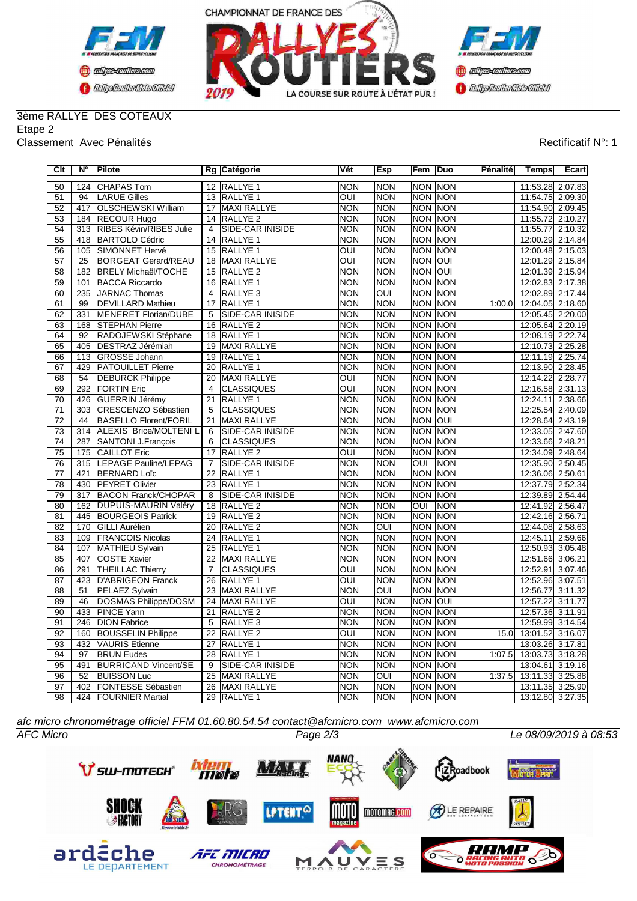



## 3ème RALLYE DES COTEAUX Etape 2

#### Classement Avec Pénalités **Rectificatif N°: 1**

| Clt             | $N^{\circ}$      | Pilote                       |                 | Rg Catégorie        | Vét                     | Esp                     | Fem                                | Duo            | Pénalité | <b>Temps</b>     | Ecart   |
|-----------------|------------------|------------------------------|-----------------|---------------------|-------------------------|-------------------------|------------------------------------|----------------|----------|------------------|---------|
| 50              |                  | 124 CHAPAS Tom               |                 | 12 RALLYE 1         | <b>NON</b>              | <b>NON</b>              |                                    | NON NON        |          | 11:53.28 2:07.83 |         |
| 51              | 94               | <b>LARUE Gilles</b>          |                 | 13 RALLYE 1         | OUI                     | <b>NON</b>              | NON NON                            |                |          | 11:54.75 2:09.30 |         |
| 52              | 417              | <b>OLSCHEWSKI William</b>    |                 | 17 MAXI RALLYE      | <b>NON</b>              | <b>NON</b>              |                                    | <b>NON NON</b> |          | 11:54.90 2:09.45 |         |
| 53              |                  | 184 RECOUR Hugo              |                 | 14 RALLYE 2         | <b>NON</b>              | <b>NON</b>              |                                    | NON NON        |          | 11:55.72 2:10.27 |         |
| 54              | 313              | RIBES Kévin/RIBES Julie      | $\overline{4}$  | SIDE-CAR INISIDE    | <b>NON</b>              | <b>NON</b>              | <b>NON NON</b>                     |                |          | 11:55.77 2:10.32 |         |
| $\overline{55}$ | 418              | <b>BARTOLO Cédric</b>        | $\overline{14}$ | RALLYE <sub>1</sub> | <b>NON</b>              | <b>NON</b>              | <b>NON NON</b>                     |                |          | 12:00.29 2:14.84 |         |
| 56              | 105              | SIMONNET Hervé               | 15              | RALLYE <sub>1</sub> | $\overline{\text{OUI}}$ | <b>NON</b>              | <b>NON NON</b>                     |                |          | 12:00.48 2:15.03 |         |
| 57              | $\overline{25}$  | <b>BORGEAT Gerard/REAU</b>   | $\overline{18}$ | <b>MAXI RALLYE</b>  | OUI                     | <b>NON</b>              | <b>NON</b>                         | loui           |          | 12:01.29 2:15.84 |         |
| $\overline{58}$ | 182              | <b>BRELY Michaël/TOCHE</b>   | $\overline{15}$ | <b>RALLYE 2</b>     | <b>NON</b>              | <b>NON</b>              | <b>NON</b>                         | loui           |          | 12:01.39 2:15.94 |         |
| 59              | 101              | <b>BACCA Riccardo</b>        | $\overline{16}$ | RALLYE <sub>1</sub> | <b>NON</b>              | <b>NON</b>              | <b>NON</b>                         | <b>NON</b>     |          | 12:02.83 2:17.38 |         |
| 60              | 235              | <b>JARNAC Thomas</b>         | $\overline{4}$  | RALLYE <sub>3</sub> | <b>NON</b>              | $\overline{OUI}$        |                                    | <b>NON NON</b> |          | 12:02.89 2:17.44 |         |
| 61              | 99               | <b>DEVILLARD Mathieu</b>     | 17              | RALLYE 1            | <b>NON</b>              | <b>NON</b>              |                                    | NON NON        | 1:00.0   | 12:04.05 2:18.60 |         |
| 62              | 331              | MENERET Florian/DUBE         | 5               | SIDE-CAR INISIDE    | <b>NON</b>              | <b>NON</b>              |                                    | NON NON        |          | 12:05.45 2:20.00 |         |
| 63              | 168              | <b>STEPHAN Pierre</b>        | 16              | RALLYE <sub>2</sub> | <b>NON</b>              | <b>NON</b>              | <b>NON</b>                         | NON            |          | 12:05.64 2:20.19 |         |
| 64              | 92               | RADOJEWSKI Stéphane          |                 | 18 RALLYE 1         | <b>NON</b>              | <b>NON</b>              |                                    | <b>NON NON</b> |          | 12:08.19 2:22.74 |         |
| 65              | 405              | <b>DESTRAZ Jérémiah</b>      | 19              | MAXI RALLYE         | <b>NON</b>              | <b>NON</b>              | <b>NON NON</b>                     |                |          | 12:10.73 2:25.28 |         |
| 66              |                  | 113 GROSSE Johann            | 19              | RALLYE 1            | <b>NON</b>              | <b>NON</b>              | NON NON                            |                |          | 12:11.19 2:25.74 |         |
| 67              |                  | 429 PATOUILLET Pierre        | $\overline{20}$ | <b>RALLYE 1</b>     | <b>NON</b>              | <b>NON</b>              | <b>NON</b>                         | <b>NON</b>     |          | 12:13.90 2:28.45 |         |
| 68              | 54               | <b>DEBURCK Philippe</b>      | $\overline{20}$ | <b>MAXI RALLYE</b>  | $\overline{\text{OUI}}$ | <b>NON</b>              | <b>NON NON</b>                     |                |          | 12:14.22 2:28.77 |         |
| 69              | 292              | <b>FORTIN Eric</b>           | $\overline{4}$  | <b>CLASSIQUES</b>   | oui                     | <b>NON</b>              | <b>NON</b>                         | <b>NON</b>     |          | 12:16.58         | 2:31.13 |
| 70              | 426              | GUERRIN Jérémy               | 21              | RALLYE <sub>1</sub> | <b>NON</b>              | <b>NON</b>              | <b>NON</b>                         | NON            |          | 12:24.11         | 2:38.66 |
| $\overline{71}$ | 303              | CRESCENZO Sébastien          | $\overline{5}$  | <b>CLASSIQUES</b>   | <b>NON</b>              | <b>NON</b>              |                                    | <b>NON NON</b> |          | 12:25.54         | 2:40.09 |
| $\overline{72}$ | 44               | <b>BASELLO Florent/FORIL</b> | $\overline{21}$ | <b>MAXI RALLYE</b>  | <b>NON</b>              | <b>NON</b>              | <b>NON</b>                         | loui           |          | 12:28.64         | 2:43.19 |
| $\overline{73}$ |                  | 314 ALEXIS Brice/MOLTENI L   | $\overline{6}$  | SIDE-CAR INISIDE    | <b>NON</b>              | <b>NON</b>              | <b>NON</b>                         | <b>NON</b>     |          | 12:33.05 2:47.60 |         |
| $\overline{74}$ | 287              | SANTONI J.François           | 6               | <b>CLASSIQUES</b>   | <b>NON</b>              | <b>NON</b>              | <b>NON</b>                         | <b>NON</b>     |          | 12:33.66 2:48.21 |         |
| 75              | 175              | <b>CAILLOT Eric</b>          |                 | 17 RALLYE 2         | OUI                     | <b>NON</b>              |                                    | NON NON        |          | 12:34.09 2:48.64 |         |
| 76              | 315              | <b>LEPAGE Pauline/LEPAG</b>  | $\overline{7}$  | SIDE-CAR INISIDE    | <b>NON</b>              | <b>NON</b>              | $\overline{\overline{\text{OUI}}}$ | <b>NON</b>     |          | 12:35.90 2:50.45 |         |
| $\overline{77}$ | 421              | <b>BERNARD Loïc</b>          | $\overline{22}$ | RALLYE <sub>1</sub> | <b>NON</b>              | <b>NON</b>              | NON NON                            |                |          | 12:36.06 2:50.61 |         |
| $\overline{78}$ | 430              | <b>PEYRET Olivier</b>        | $\overline{23}$ | <b>RALLYE 1</b>     | <b>NON</b>              | <b>NON</b>              | <b>NON NON</b>                     |                |          | 12:37.79 2:52.34 |         |
| 79              | 317              | <b>BACON Franck/CHOPAR</b>   | $\overline{8}$  | SIDE-CAR INISIDE    | <b>NON</b>              | <b>NON</b>              | <b>NON NON</b>                     |                |          | 12:39.89 2:54.44 |         |
| 80              | 162              | <b>DUPUIS-MAURIN Valéry</b>  | $\overline{18}$ | <b>RALLYE 2</b>     | <b>NON</b>              | <b>NON</b>              | $\overline{O}$                     | <b>INON</b>    |          | 12:41.92         | 2:56.47 |
| 81              | 445              | <b>BOURGEOIS Patrick</b>     | $\overline{19}$ | <b>RALLYE 2</b>     | <b>NON</b>              | <b>NON</b>              | <b>NON NON</b>                     |                |          | 12:42.16 2:56.71 |         |
| 82              | 170              | <b>GILLI Aurélien</b>        | 20              | RALLYE <sub>2</sub> | <b>NON</b>              | OUI                     | <b>NON NON</b>                     |                |          | 12:44.08 2:58.63 |         |
| 83              | 109              | <b>FRANCOIS Nicolas</b>      | 24              | RALLYE <sub>1</sub> | <b>NON</b>              | <b>NON</b>              |                                    | NON NON        |          | 12:45.11         | 2:59.66 |
| 84              | 107              | MATHIEU Sylvain              | $\overline{25}$ | RALLYE <sub>1</sub> | <b>NON</b>              | <b>NON</b>              | <b>NON</b>                         | <b>NON</b>     |          | 12:50.93         | 3:05.48 |
| 85              | 407              | COSTE Xavier                 | 22              | MAXI RALLYE         | <b>NON</b>              | <b>NON</b>              | <b>NON NON</b>                     |                |          | 12:51.66 3:06.21 |         |
| 86              | 291              | <b>THEILLAC Thierry</b>      | $\overline{7}$  | <b>CLASSIQUES</b>   | ОUІ                     | <b>NON</b>              | NON NON                            |                |          | 12:52.91         | 3:07.46 |
| 87              | 423              | <b>D'ABRIGEON Franck</b>     | 26              | RALLYE 1            | $\overline{O}$ UI       | <b>NON</b>              | <b>NON NON</b>                     |                |          | 12:52.96 3:07.51 |         |
| $\overline{88}$ | $\overline{51}$  | PELAEZ Sylvain               | $\overline{23}$ | <b>MAXI RALLYE</b>  | <b>NON</b>              | $\overline{OUI}$        | <b>NON</b>                         | <b>NON</b>     |          | 12:56.77         | 3:11.32 |
| 89              | 46               | DOSMAS Philippe/DOSM         | $\overline{24}$ | <b>MAXI RALLYE</b>  | $\overline{\text{OUI}}$ | <b>NON</b>              | <b>NON</b>                         | loui           |          | 12:57.22         | 3:11.77 |
| $\overline{90}$ | 433              | <b>PINCE Yann</b>            | $\overline{21}$ | <b>RALLYE 2</b>     | <b>NON</b>              | <b>NON</b>              | <b>NON</b>                         | <b>NON</b>     |          | 12:57.36         | 3:11.91 |
| 91              | $\overline{246}$ | <b>DION Fabrice</b>          | $\overline{5}$  | RALLYE <sub>3</sub> | <b>NON</b>              | <b>NON</b>              | <b>NON NON</b>                     |                |          | 12:59.99         | 3:14.54 |
| 92              | 160              | <b>BOUSSELIN Philippe</b>    | 22              | RALLYE <sub>2</sub> | OUI                     | <b>NON</b>              | <b>NON</b>                         | <b>NON</b>     | 15.0     | 13:01.52         | 3:16.07 |
| 93              | 432              | <b>VAURIS Etienne</b>        | 27              | RALLYE 1            | <b>NON</b>              | <b>NON</b>              | <b>NON</b>                         | <b>NON</b>     |          | 13:03.26         | 3:17.81 |
| 94              | 97               | <b>BRUN Eudes</b>            | 28              | RALLYE <sub>1</sub> | <b>NON</b>              | <b>NON</b>              | <b>NON</b>                         | <b>NON</b>     | 1:07.5   | 13:03.73         | 3:18.28 |
| 95              | 491              | <b>BURRICAND Vincent/SE</b>  | $\overline{9}$  | SIDE-CAR INISIDE    | <b>NON</b>              | <b>NON</b>              | <b>NON NON</b>                     |                |          | 13:04.61         | 3:19.16 |
| 96              | $\overline{52}$  | <b>BUISSON Luc</b>           | 25              | MAXI RALLYE         | <b>NON</b>              | $\overline{\text{OUI}}$ |                                    | NON NON        | 1:37.5   | 13:11.33         | 3:25.88 |
| 97              | 402              | <b>FONTESSE Sébastien</b>    | $\overline{26}$ | <b>MAXI RALLYE</b>  | <b>NON</b>              | <b>NON</b>              |                                    | NON NON        |          | 13:11.35 3:25.90 |         |
| $\overline{98}$ |                  | 424 FOURNIER Martial         |                 | 29 RALLYE 1         | <b>NON</b>              | <b>NON</b>              | <b>NON NON</b>                     |                |          | 13:12.80 3:27.35 |         |

*afc micro chronométrage officiel FFM 01.60.80.54.54 contact@afcmicro.com www.afcmicro.com*